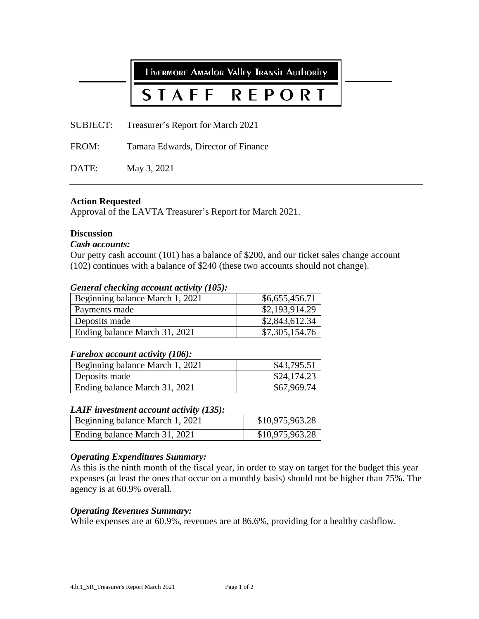LIVERMORE AMAdOR VAlley TRANSIT AUTHORITY

# REPORT STAFF

SUBJECT: Treasurer's Report for March 2021

FROM: Tamara Edwards, Director of Finance

DATE: May 3, 2021

# **Action Requested**

Approval of the LAVTA Treasurer's Report for March 2021.

# **Discussion**

# *Cash accounts:*

Our petty cash account (101) has a balance of \$200, and our ticket sales change account (102) continues with a balance of \$240 (these two accounts should not change).

# *General checking account activity (105):*

| Beginning balance March 1, 2021 | \$6,655,456.71 |
|---------------------------------|----------------|
| Payments made                   | \$2,193,914.29 |
| Deposits made                   | \$2,843,612.34 |
| Ending balance March 31, 2021   | \$7,305,154.76 |

# *Farebox account activity (106):*

| Beginning balance March 1, 2021 | \$43,795.51 |
|---------------------------------|-------------|
| Deposits made                   | \$24,174.23 |
| Ending balance March 31, 2021   | \$67,969.74 |

# *LAIF investment account activity (135):*

| Beginning balance March 1, 2021 | \$10,975,963.28 |
|---------------------------------|-----------------|
| Ending balance March 31, 2021   | \$10,975,963.28 |

# *Operating Expenditures Summary:*

As this is the ninth month of the fiscal year, in order to stay on target for the budget this year expenses (at least the ones that occur on a monthly basis) should not be higher than 75%. The agency is at 60.9% overall.

# *Operating Revenues Summary:*

While expenses are at 60.9%, revenues are at 86.6%, providing for a healthy cashflow.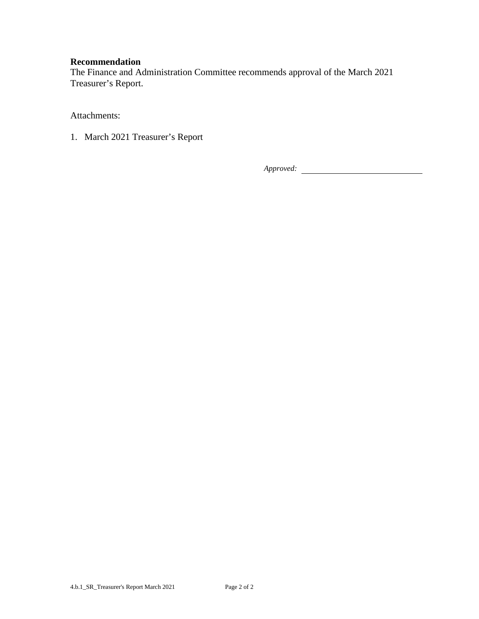# **Recommendation**

The Finance and Administration Committee recommends approval of the March 2021 Treasurer's Report.

Attachments:

1. March 2021 Treasurer's Report

*Approved:*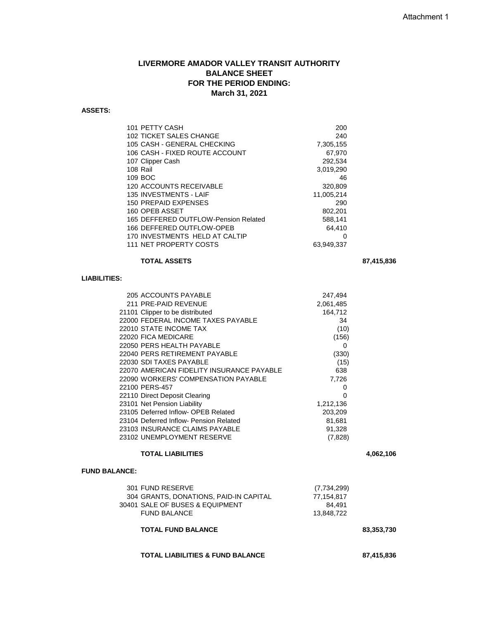# **LIVERMORE AMADOR VALLEY TRANSIT AUTHORITY BALANCE SHEET FOR THE PERIOD ENDING: March 31, 2021**

#### **ASSETS:**

| 101 PETTY CASH                       | 200        |
|--------------------------------------|------------|
| 102 TICKET SALES CHANGE              | 240        |
| 105 CASH - GENERAL CHECKING          | 7,305,155  |
| 106 CASH - FIXED ROUTE ACCOUNT       | 67,970     |
| 107 Clipper Cash                     | 292,534    |
| 108 Rail                             | 3,019,290  |
| 109 BOC                              | 46         |
| 120 ACCOUNTS RECEIVABLE              | 320,809    |
| <b>135 INVESTMENTS - LAIF</b>        | 11,005,214 |
| 150 PREPAID EXPENSES                 | 290        |
| 160 OPEB ASSET                       | 802,201    |
| 165 DEFFERED OUTFLOW-Pension Related | 588,141    |
| 166 DEFFERED OUTFLOW-OPEB            | 64,410     |
| 170 INVESTMENTS HELD AT CALTIP       | 0          |
| 111 NET PROPERTY COSTS               | 63.949.337 |
|                                      |            |

### **TOTAL ASSETS 87,415,836**

# **LIABILITIES:**

| 205 ACCOUNTS PAYABLE                      | 247,494   |
|-------------------------------------------|-----------|
| 211 PRE-PAID REVENUE                      | 2,061,485 |
| 21101 Clipper to be distributed           | 164,712   |
| 22000 FEDERAL INCOME TAXES PAYABLE        | 34        |
| 22010 STATE INCOME TAX                    | (10)      |
| 22020 FICA MEDICARE                       | (156)     |
| 22050 PERS HEALTH PAYABLE                 | 0         |
| 22040 PERS RETIREMENT PAYABLE             | (330)     |
| 22030 SDI TAXES PAYABLE                   | (15)      |
| 22070 AMERICAN FIDELITY INSURANCE PAYABLE | 638       |
| 22090 WORKERS' COMPENSATION PAYABLE       | 7,726     |
| 22100 PERS-457                            | O         |
| 22110 Direct Deposit Clearing             | O         |
| 23101 Net Pension Liability               | 1,212,136 |
| 23105 Deferred Inflow- OPEB Related       | 203,209   |
| 23104 Deferred Inflow- Pension Related    | 81,681    |
| 23103 INSURANCE CLAIMS PAYABLE            | 91,328    |
| 23102 UNEMPLOYMENT RESERVE                | (7,828)   |

#### **TOTAL LIABILITIES 4,062,106**

#### **FUND BALANCE:**

| 301 FUND RESERVE                       | (7,734,299) |
|----------------------------------------|-------------|
| 304 GRANTS, DONATIONS, PAID-IN CAPITAL | 77.154.817  |
| 30401 SALE OF BUSES & EQUIPMENT        | 84.491      |
| <b>FUND BALANCE</b>                    | 13.848.722  |
|                                        |             |

# **TOTAL FUND BALANCE 83,353,730**

#### **TOTAL LIABILITIES & FUND BALANCE 87,415,836**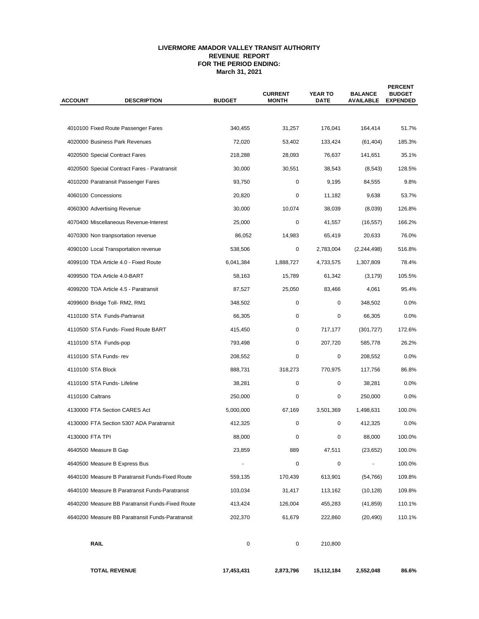#### **LIVERMORE AMADOR VALLEY TRANSIT AUTHORITY REVENUE REPORT FOR THE PERIOD ENDING: March 31, 2021**

| <b>ACCOUNT</b>        | <b>DESCRIPTION</b>                               | <b>BUDGET</b> | <b>CURRENT</b><br><b>MONTH</b> | <b>YEAR TO</b><br><b>DATE</b> | <b>BALANCE</b><br><b>AVAILABLE</b> | <b>PERCENT</b><br><b>BUDGET</b><br><b>EXPENDED</b> |  |
|-----------------------|--------------------------------------------------|---------------|--------------------------------|-------------------------------|------------------------------------|----------------------------------------------------|--|
|                       |                                                  |               |                                |                               |                                    |                                                    |  |
|                       | 4010100 Fixed Route Passenger Fares              | 340,455       | 31,257                         | 176,041                       | 164,414                            | 51.7%                                              |  |
|                       | 4020000 Business Park Revenues                   | 72,020        | 53,402                         | 133,424                       | (61, 404)                          | 185.3%                                             |  |
|                       | 4020500 Special Contract Fares                   | 218,288       | 28,093                         | 76,637                        | 141,651                            | 35.1%                                              |  |
|                       | 4020500 Special Contract Fares - Paratransit     | 30,000        | 30,551                         | 38,543                        | (8, 543)                           | 128.5%                                             |  |
|                       | 4010200 Paratransit Passenger Fares              | 93.750        | 0                              | 9,195                         | 84,555                             | 9.8%                                               |  |
| 4060100 Concessions   |                                                  | 20,820        | 0                              | 11,182                        | 9,638                              | 53.7%                                              |  |
|                       | 4060300 Advertising Revenue                      | 30,000        | 10,074                         | 38,039                        | (8,039)                            | 126.8%                                             |  |
|                       | 4070400 Miscellaneous Revenue-Interest           | 25,000        | 0                              | 41,557                        | (16, 557)                          | 166.2%                                             |  |
|                       | 4070300 Non tranpsortation revenue               | 86,052        | 14,983                         | 65,419                        | 20,633                             | 76.0%                                              |  |
|                       | 4090100 Local Transportation revenue             | 538,506       | 0                              | 2,783,004                     | (2, 244, 498)                      | 516.8%                                             |  |
|                       | 4099100 TDA Article 4.0 - Fixed Route            | 6,041,384     | 1,888,727                      | 4,733,575                     | 1,307,809                          | 78.4%                                              |  |
|                       | 4099500 TDA Article 4.0-BART                     | 58,163        | 15,789                         | 61,342                        | (3, 179)                           | 105.5%                                             |  |
|                       | 4099200 TDA Article 4.5 - Paratransit            | 87,527        | 25,050                         | 83,466                        | 4,061                              | 95.4%                                              |  |
|                       | 4099600 Bridge Toll- RM2, RM1                    | 348,502       | 0                              | 0                             | 348,502                            | 0.0%                                               |  |
|                       | 4110100 STA Funds-Partransit                     | 66,305        | 0                              | 0                             | 66,305                             | 0.0%                                               |  |
|                       | 4110500 STA Funds- Fixed Route BART              | 415,450       | 0                              | 717,177                       | (301, 727)                         | 172.6%                                             |  |
| 4110100 STA Funds-pop |                                                  | 793,498       | 0                              | 207,720                       | 585,778                            | 26.2%                                              |  |
| 4110100 STA Funds-rev |                                                  | 208,552       | 0                              | 0                             | 208,552                            | 0.0%                                               |  |
| 4110100 STA Block     |                                                  | 888,731       | 318,273                        | 770,975                       | 117,756                            | 86.8%                                              |  |
|                       | 4110100 STA Funds- Lifeline                      | 38,281        | 0                              | 0                             | 38,281                             | 0.0%                                               |  |
| 4110100 Caltrans      |                                                  | 250,000       | 0                              | 0                             | 250,000                            | 0.0%                                               |  |
|                       | 4130000 FTA Section CARES Act                    | 5,000,000     | 67,169                         | 3,501,369                     | 1,498,631                          | 100.0%                                             |  |
|                       | 4130000 FTA Section 5307 ADA Paratransit         | 412,325       | 0                              | 0                             | 412,325                            | 0.0%                                               |  |
| 4130000 FTA TPI       |                                                  | 88,000        | 0                              | 0                             | 88,000                             | 100.0%                                             |  |
| 4640500 Measure B Gap |                                                  | 23,859        | 889                            | 47,511                        | (23, 652)                          | 100.0%                                             |  |
|                       | 4640500 Measure B Express Bus                    |               | 0                              | 0                             |                                    | 100.0%                                             |  |
|                       | 4640100 Measure B Paratransit Funds-Fixed Route  | 559,135       | 170,439                        | 613,901                       | (54, 766)                          | 109.8%                                             |  |
|                       | 4640100 Measure B Paratransit Funds-Paratransit  | 103,034       | 31,417                         | 113,162                       | (10, 128)                          | 109.8%                                             |  |
|                       | 4640200 Measure BB Paratransit Funds-Fixed Route | 413,424       | 126,004                        | 455,283                       | (41, 859)                          | 110.1%                                             |  |
|                       | 4640200 Measure BB Paratransit Funds-Paratransit | 202,370       | 61,679                         | 222,860                       | (20, 490)                          | 110.1%                                             |  |
| <b>RAIL</b>           |                                                  | $\pmb{0}$     | 0                              | 210,800                       |                                    |                                                    |  |
|                       | <b>TOTAL REVENUE</b>                             | 17,453,431    | 2,873,796                      | 15,112,184                    | 2,552,048                          | 86.6%                                              |  |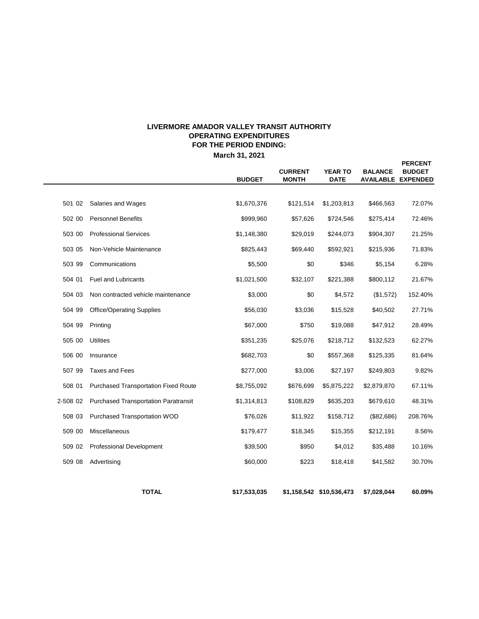# **LIVERMORE AMADOR VALLEY TRANSIT AUTHORITY OPERATING EXPENDITURES FOR THE PERIOD ENDING:**

**March 31, 2021**

 $\overline{\phantom{0}}$ 

|          |                                             | <b>BUDGET</b> | <b>CURRENT</b><br><b>MONTH</b> | <b>YEAR TO</b><br><b>DATE</b> | <b>BALANCE</b> | <b>PERCENT</b><br><b>BUDGET</b><br><b>AVAILABLE EXPENDED</b> |
|----------|---------------------------------------------|---------------|--------------------------------|-------------------------------|----------------|--------------------------------------------------------------|
|          |                                             |               |                                |                               |                |                                                              |
| 501 02   | Salaries and Wages                          | \$1,670,376   | \$121,514                      | \$1,203,813                   | \$466,563      | 72.07%                                                       |
| 502 00   | <b>Personnel Benefits</b>                   | \$999,960     | \$57,626                       | \$724,546                     | \$275,414      | 72.46%                                                       |
| 503 00   | <b>Professional Services</b>                | \$1,148,380   | \$29,019                       | \$244,073                     | \$904,307      | 21.25%                                                       |
| 503 05   | Non-Vehicle Maintenance                     | \$825,443     | \$69,440                       | \$592,921                     | \$215,936      | 71.83%                                                       |
| 503 99   | Communications                              | \$5,500       | \$0                            | \$346                         | \$5,154        | 6.28%                                                        |
| 504 01   | <b>Fuel and Lubricants</b>                  | \$1,021,500   | \$32,107                       | \$221,388                     | \$800,112      | 21.67%                                                       |
| 504 03   | Non contracted vehicle maintenance          | \$3,000       | \$0                            | \$4,572                       | (\$1,572)      | 152.40%                                                      |
| 504 99   | <b>Office/Operating Supplies</b>            | \$56,030      | \$3,036                        | \$15,528                      | \$40,502       | 27.71%                                                       |
| 504 99   | Printing                                    | \$67,000      | \$750                          | \$19,088                      | \$47,912       | 28.49%                                                       |
| 505 00   | <b>Utilities</b>                            | \$351,235     | \$25,076                       | \$218,712                     | \$132,523      | 62.27%                                                       |
| 506 00   | Insurance                                   | \$682,703     | \$0                            | \$557,368                     | \$125,335      | 81.64%                                                       |
| 507 99   | <b>Taxes and Fees</b>                       | \$277,000     | \$3,006                        | \$27,197                      | \$249,803      | 9.82%                                                        |
| 508 01   | <b>Purchased Transportation Fixed Route</b> | \$8,755,092   | \$676,699                      | \$5,875,222                   | \$2,879,870    | 67.11%                                                       |
| 2-508 02 | <b>Purchased Transportation Paratransit</b> | \$1,314,813   | \$108,829                      | \$635,203                     | \$679,610      | 48.31%                                                       |
| 508 03   | Purchased Transportation WOD                | \$76,026      | \$11,922                       | \$158,712                     | (\$82,686)     | 208.76%                                                      |
| 509 00   | Miscellaneous                               | \$179,477     | \$18,345                       | \$15,355                      | \$212,191      | 8.56%                                                        |
| 509 02   | <b>Professional Development</b>             | \$39,500      | \$950                          | \$4,012                       | \$35,488       | 10.16%                                                       |
| 509 08   | Advertising                                 | \$60,000      | \$223                          | \$18,418                      | \$41,582       | 30.70%                                                       |
|          |                                             |               |                                |                               |                |                                                              |
|          | <b>TOTAL</b>                                | \$17,533,035  |                                | \$1,158,542 \$10,536,473      | \$7,028,044    | 60.09%                                                       |

**\$17,533,035 \$1,158,542 \$10,536,473 \$7,028,044 60.09%**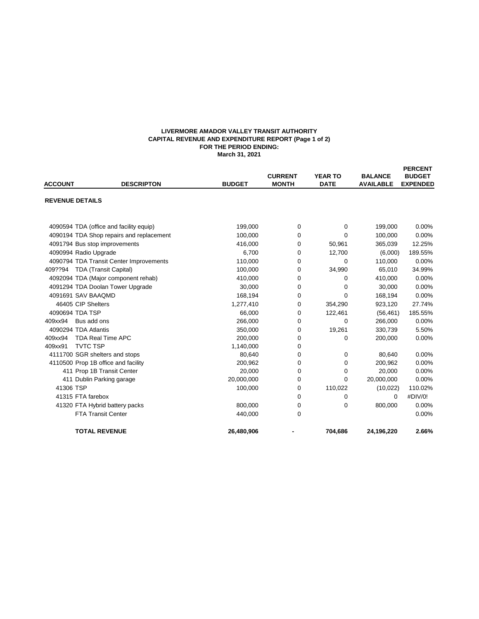#### **LIVERMORE AMADOR VALLEY TRANSIT AUTHORITY CAPITAL REVENUE AND EXPENDITURE REPORT (Page 1 of 2) FOR THE PERIOD ENDING: March 31, 2021**

| <b>ACCOUNT</b>         | <b>DESCRIPTON</b>                        | <b>BUDGET</b> | <b>CURRENT</b><br><b>MONTH</b> | <b>YEAR TO</b><br><b>DATE</b> | <b>BALANCE</b><br><b>AVAILABLE</b> | <b>PERCENT</b><br><b>BUDGET</b><br><b>EXPENDED</b> |
|------------------------|------------------------------------------|---------------|--------------------------------|-------------------------------|------------------------------------|----------------------------------------------------|
| <b>REVENUE DETAILS</b> |                                          |               |                                |                               |                                    |                                                    |
|                        | 4090594 TDA (office and facility equip)  | 199,000       | 0                              | $\mathbf 0$                   | 199,000                            | 0.00%                                              |
|                        | 4090194 TDA Shop repairs and replacement | 100.000       | 0                              | $\Omega$                      | 100.000                            | 0.00%                                              |
|                        | 4091794 Bus stop improvements            | 416,000       | 0                              | 50,961                        | 365,039                            | 12.25%                                             |
|                        | 4090994 Radio Upgrade                    | 6,700         | 0                              | 12,700                        | (6,000)                            | 189.55%                                            |
|                        | 4090794 TDA Transit Center Improvements  | 110,000       | 0                              | 0                             | 110,000                            | 0.00%                                              |
| 409??94                | <b>TDA (Transit Capital)</b>             | 100,000       | 0                              | 34,990                        | 65,010                             | 34.99%                                             |
|                        | 4092094 TDA (Major component rehab)      | 410,000       | 0                              | 0                             | 410,000                            | 0.00%                                              |
|                        | 4091294 TDA Doolan Tower Upgrade         | 30,000        | 0                              | 0                             | 30,000                             | 0.00%                                              |
|                        | 4091691 SAV BAAQMD                       | 168,194       | 0                              | $\mathbf 0$                   | 168,194                            | 0.00%                                              |
|                        | 46405 CIP Shelters                       | 1,277,410     | 0                              | 354.290                       | 923,120                            | 27.74%                                             |
|                        | 4090694 TDA TSP                          | 66,000        | 0                              | 122,461                       | (56, 461)                          | 185.55%                                            |
| 409xx94                | Bus add ons                              | 266,000       | 0                              | $\Omega$                      | 266,000                            | 0.00%                                              |
|                        | 4090294 TDA Atlantis                     | 350.000       | 0                              | 19,261                        | 330,739                            | 5.50%                                              |
| 409xx94                | <b>TDA Real Time APC</b>                 | 200,000       | 0                              | 0                             | 200,000                            | 0.00%                                              |
| 409xx91                | <b>TVTC TSP</b>                          | 1,140,000     | 0                              |                               |                                    |                                                    |
|                        | 4111700 SGR shelters and stops           | 80,640        | 0                              | 0                             | 80,640                             | 0.00%                                              |
|                        | 4110500 Prop 1B office and facility      | 200,962       | 0                              | 0                             | 200,962                            | 0.00%                                              |
|                        | 411 Prop 1B Transit Center               | 20,000        | 0                              | 0                             | 20,000                             | 0.00%                                              |
|                        | 411 Dublin Parking garage                | 20,000,000    | 0                              | $\Omega$                      | 20,000,000                         | 0.00%                                              |
| 41306 TSP              |                                          | 100,000       | 0                              | 110,022                       | (10, 022)                          | 110.02%                                            |
|                        | 41315 FTA farebox                        |               | 0                              | 0                             | 0                                  | #DIV/0!                                            |
|                        | 41320 FTA Hybrid battery packs           | 800.000       | 0                              | 0                             | 800,000                            | 0.00%                                              |
|                        | <b>FTA Transit Center</b>                | 440,000       | $\mathbf 0$                    |                               |                                    | 0.00%                                              |
|                        | <b>TOTAL REVENUE</b>                     | 26,480,906    |                                | 704,686                       | 24,196,220                         | 2.66%                                              |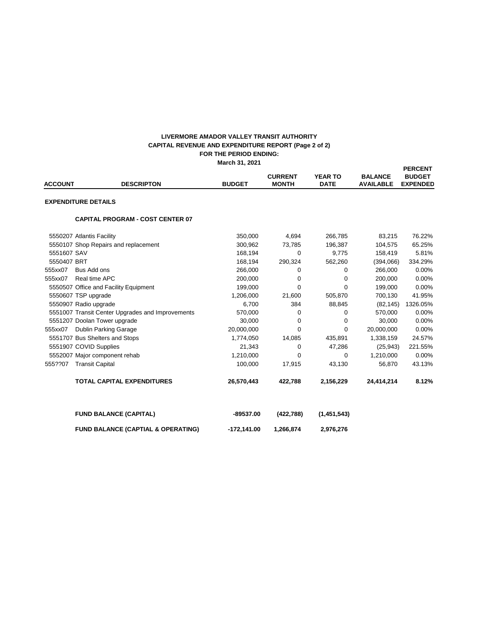#### **FOR THE PERIOD ENDING: March 31, 2021 LIVERMORE AMADOR VALLEY TRANSIT AUTHORITY CAPITAL REVENUE AND EXPENDITURE REPORT (Page 2 of 2)**

|                |                                                  |               | <b>CURRENT</b> | <b>YEAR TO</b> | <b>BALANCE</b>   | <b>PERCENT</b><br><b>BUDGET</b> |
|----------------|--------------------------------------------------|---------------|----------------|----------------|------------------|---------------------------------|
| <b>ACCOUNT</b> | <b>DESCRIPTON</b>                                | <b>BUDGET</b> | <b>MONTH</b>   | <b>DATE</b>    | <b>AVAILABLE</b> | <b>EXPENDED</b>                 |
|                | <b>EXPENDITURE DETAILS</b>                       |               |                |                |                  |                                 |
|                | <b>CAPITAL PROGRAM - COST CENTER 07</b>          |               |                |                |                  |                                 |
|                | 5550207 Atlantis Facility                        | 350,000       | 4,694          | 266,785        | 83,215           | 76.22%                          |
|                | 5550107 Shop Repairs and replacement             | 300,962       | 73,785         | 196.387        | 104,575          | 65.25%                          |
| 5551607 SAV    |                                                  | 168,194       | 0              | 9,775          | 158,419          | 5.81%                           |
| 5550407 BRT    |                                                  | 168,194       | 290,324        | 562,260        | (394,066)        | 334.29%                         |
| 555xx07        | Bus Add ons                                      | 266,000       | 0              | 0              | 266,000          | 0.00%                           |
| 555xx07        | Real time APC                                    | 200,000       | 0              | $\Omega$       | 200,000          | 0.00%                           |
|                | 5550507 Office and Facility Equipment            | 199.000       | 0              | $\mathbf 0$    | 199.000          | 0.00%                           |
|                | 5550607 TSP upgrade                              | 1,206,000     | 21,600         | 505,870        | 700,130          | 41.95%                          |
|                | 5550907 Radio upgrade                            | 6,700         | 384            | 88,845         | (82, 145)        | 1326.05%                        |
|                | 5551007 Transit Center Upgrades and Improvements | 570,000       | 0              | 0              | 570,000          | 0.00%                           |
|                | 5551207 Doolan Tower upgrade                     | 30,000        | 0              | $\Omega$       | 30,000           | 0.00%                           |
| 555xx07        | <b>Dublin Parking Garage</b>                     | 20,000,000    | 0              | $\Omega$       | 20,000,000       | 0.00%                           |
|                | 5551707 Bus Shelters and Stops                   | 1,774,050     | 14,085         | 435,891        | 1,338,159        | 24.57%                          |
|                | 5551907 COVID Supplies                           | 21,343        | 0              | 47,286         | (25, 943)        | 221.55%                         |
|                | 5552007 Major component rehab                    | 1,210,000     | $\Omega$       | $\mathbf 0$    | 1,210,000        | 0.00%                           |
| 555??07        | <b>Transit Capital</b>                           | 100,000       | 17,915         | 43,130         | 56,870           | 43.13%                          |
|                | <b>TOTAL CAPITAL EXPENDITURES</b>                | 26,570,443    | 422,788        | 2,156,229      | 24,414,214       | 8.12%                           |
|                | <b>FUND BALANCE (CAPITAL)</b>                    | $-89537.00$   | (422, 788)     | (1,451,543)    |                  |                                 |
|                | <b>FUND BALANCE (CAPTIAL &amp; OPERATING)</b>    | $-172,141.00$ | 1,266,874      | 2,976,276      |                  |                                 |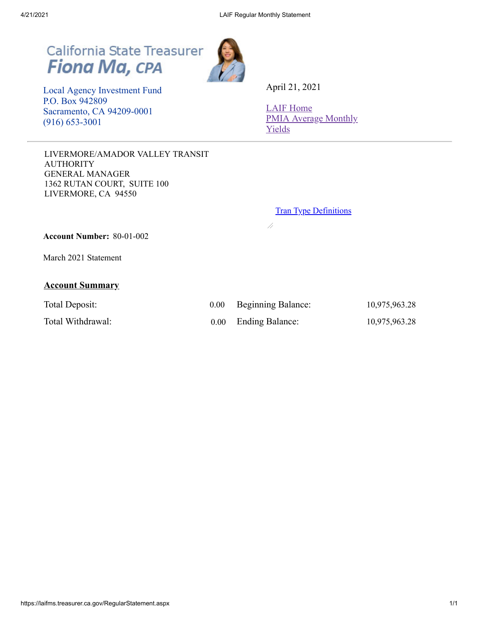# California State Treasurer<br>Fiona Ma, CPA



 Local Agency Investment Fund P.O. Box 942809 Sacramento, CA 94209-0001 (916) 653-3001

LIVERMORE/AMADOR VALLEY TRANSIT AUTHORITY GENERAL MANAGER 1362 RUTAN COURT, SUITE 100 LIVERMORE, CA 94550

April 21, 2021

[LAIF Home](https://www.treasurer.ca.gov/pmia-laif/laif/index.asp) [PMIA Average Monthly](http://www.treasurer.ca.gov/pmia-laif/historical/avg_mn_ylds.asp) Yields

**Tran Type [Definitions](https://laifms.treasurer.ca.gov/Transaction%20Types%20Regular.htm)** 

 $\overline{\mathscr{A}}$ 

**Account Number:** 80-01-002

March 2021 Statement

# **Account Summary**

| Total Deposit:    | 0.00     | <b>Beginning Balance:</b> | 10,975,963.28 |
|-------------------|----------|---------------------------|---------------|
| Total Withdrawal: | $0.00\,$ | <b>Ending Balance:</b>    | 10,975,963.28 |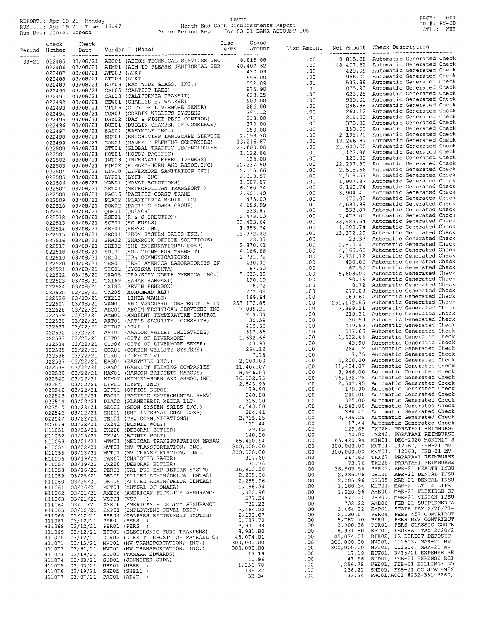# REPORT.: Apr 19 21 Monday<br>RUN....: Apr 19 21 Time: 16:47 Month End Cash Disbursements Report<br>Run By.: Daniel Zepeda Prior Period Report for 03-21 BANK ACCOUNT 105

PAGE: 001<br>ID #: PY-CD<br>CTL.: WHE

| Check<br>Period Number | Check<br>Date | Vendor # (Name) Forms - Amount Disc Mount Net Amount Check Description<br>Terms Amount Disc Amount Disc Amount Net Amount Check Description<br>The Check Design Check Check Design Disc                                                                               | Disc. | Gross |  |  |
|------------------------|---------------|-----------------------------------------------------------------------------------------------------------------------------------------------------------------------------------------------------------------------------------------------------------------------|-------|-------|--|--|
|                        |               |                                                                                                                                                                                                                                                                       |       |       |  |  |
|                        |               |                                                                                                                                                                                                                                                                       |       |       |  |  |
|                        |               |                                                                                                                                                                                                                                                                       |       |       |  |  |
|                        |               |                                                                                                                                                                                                                                                                       |       |       |  |  |
|                        |               |                                                                                                                                                                                                                                                                       |       |       |  |  |
|                        |               |                                                                                                                                                                                                                                                                       |       |       |  |  |
|                        |               |                                                                                                                                                                                                                                                                       |       |       |  |  |
|                        |               |                                                                                                                                                                                                                                                                       |       |       |  |  |
|                        |               |                                                                                                                                                                                                                                                                       |       |       |  |  |
|                        |               |                                                                                                                                                                                                                                                                       |       |       |  |  |
|                        |               |                                                                                                                                                                                                                                                                       |       |       |  |  |
|                        |               |                                                                                                                                                                                                                                                                       |       |       |  |  |
|                        |               |                                                                                                                                                                                                                                                                       |       |       |  |  |
|                        |               |                                                                                                                                                                                                                                                                       |       |       |  |  |
|                        |               |                                                                                                                                                                                                                                                                       |       |       |  |  |
|                        |               |                                                                                                                                                                                                                                                                       |       |       |  |  |
|                        |               |                                                                                                                                                                                                                                                                       |       |       |  |  |
|                        |               |                                                                                                                                                                                                                                                                       |       |       |  |  |
|                        |               |                                                                                                                                                                                                                                                                       |       |       |  |  |
|                        |               |                                                                                                                                                                                                                                                                       |       |       |  |  |
|                        |               |                                                                                                                                                                                                                                                                       |       |       |  |  |
|                        |               |                                                                                                                                                                                                                                                                       |       |       |  |  |
|                        |               |                                                                                                                                                                                                                                                                       |       |       |  |  |
|                        |               |                                                                                                                                                                                                                                                                       |       |       |  |  |
|                        |               |                                                                                                                                                                                                                                                                       |       |       |  |  |
|                        |               |                                                                                                                                                                                                                                                                       |       |       |  |  |
|                        |               |                                                                                                                                                                                                                                                                       |       |       |  |  |
|                        |               |                                                                                                                                                                                                                                                                       |       |       |  |  |
|                        |               |                                                                                                                                                                                                                                                                       |       |       |  |  |
|                        |               |                                                                                                                                                                                                                                                                       |       |       |  |  |
|                        |               |                                                                                                                                                                                                                                                                       |       |       |  |  |
|                        |               |                                                                                                                                                                                                                                                                       |       |       |  |  |
|                        |               |                                                                                                                                                                                                                                                                       |       |       |  |  |
|                        |               |                                                                                                                                                                                                                                                                       |       |       |  |  |
|                        |               |                                                                                                                                                                                                                                                                       |       |       |  |  |
|                        |               |                                                                                                                                                                                                                                                                       |       |       |  |  |
|                        |               |                                                                                                                                                                                                                                                                       |       |       |  |  |
|                        |               |                                                                                                                                                                                                                                                                       |       |       |  |  |
|                        |               |                                                                                                                                                                                                                                                                       |       |       |  |  |
|                        |               |                                                                                                                                                                                                                                                                       |       |       |  |  |
|                        |               |                                                                                                                                                                                                                                                                       |       |       |  |  |
|                        |               |                                                                                                                                                                                                                                                                       |       |       |  |  |
|                        |               |                                                                                                                                                                                                                                                                       |       |       |  |  |
|                        |               |                                                                                                                                                                                                                                                                       |       |       |  |  |
|                        |               |                                                                                                                                                                                                                                                                       |       |       |  |  |
|                        |               |                                                                                                                                                                                                                                                                       |       |       |  |  |
|                        |               |                                                                                                                                                                                                                                                                       |       |       |  |  |
|                        |               |                                                                                                                                                                                                                                                                       |       |       |  |  |
|                        |               |                                                                                                                                                                                                                                                                       |       |       |  |  |
|                        |               |                                                                                                                                                                                                                                                                       |       |       |  |  |
|                        |               |                                                                                                                                                                                                                                                                       |       |       |  |  |
|                        |               |                                                                                                                                                                                                                                                                       |       |       |  |  |
|                        |               |                                                                                                                                                                                                                                                                       |       |       |  |  |
|                        |               | $\begin{bmatrix} 52545 & 0.572721 & 0.760 & 0.761 & 0.761 & 0.761 & 0.761 & 0.761 & 0.761 & 0.761 & 0.761 & 0.761 & 0.761 & 0.761 & 0.761 & 0.761 & 0.761 & 0.761 & 0.761 & 0.761 & 0.761 & 0.761 & 0.761 & 0.761 & 0.761 & 0.761 & 0.761 & 0.761 & 0.761 & 0.761 & $ |       |       |  |  |
|                        |               |                                                                                                                                                                                                                                                                       |       |       |  |  |
|                        |               |                                                                                                                                                                                                                                                                       |       |       |  |  |
|                        |               |                                                                                                                                                                                                                                                                       |       |       |  |  |
|                        |               |                                                                                                                                                                                                                                                                       |       |       |  |  |
|                        |               |                                                                                                                                                                                                                                                                       |       |       |  |  |
|                        |               |                                                                                                                                                                                                                                                                       |       |       |  |  |
|                        |               |                                                                                                                                                                                                                                                                       |       |       |  |  |
|                        |               |                                                                                                                                                                                                                                                                       |       |       |  |  |
|                        |               |                                                                                                                                                                                                                                                                       |       |       |  |  |
|                        |               |                                                                                                                                                                                                                                                                       |       |       |  |  |
|                        |               |                                                                                                                                                                                                                                                                       |       |       |  |  |
|                        |               |                                                                                                                                                                                                                                                                       |       |       |  |  |
|                        |               |                                                                                                                                                                                                                                                                       |       |       |  |  |
|                        |               |                                                                                                                                                                                                                                                                       |       |       |  |  |
|                        |               |                                                                                                                                                                                                                                                                       |       |       |  |  |
|                        |               |                                                                                                                                                                                                                                                                       |       |       |  |  |
|                        |               |                                                                                                                                                                                                                                                                       |       |       |  |  |
|                        |               |                                                                                                                                                                                                                                                                       |       |       |  |  |
|                        |               |                                                                                                                                                                                                                                                                       |       |       |  |  |
|                        |               |                                                                                                                                                                                                                                                                       |       |       |  |  |
|                        |               |                                                                                                                                                                                                                                                                       |       |       |  |  |
|                        |               |                                                                                                                                                                                                                                                                       |       |       |  |  |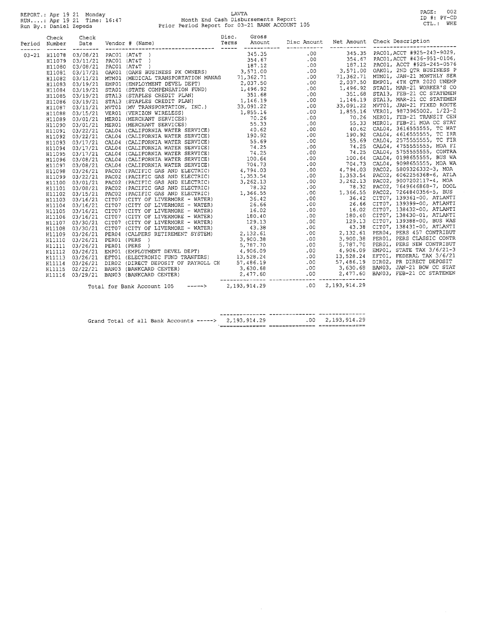REPORT.: Apr 19 21 Monday<br>RUN....: Apr 19 21 Time: 16:47<br>Run By.: Daniel Zepeda

# LAVTA<br>Month End Cash Disbursements Report<br>Prior Period Report for 03-21 BANK ACCOUNT 105

PAGE: 002<br>ID #: PY-CD<br>CTL.: WHE

|       | Check<br>Period Number | Check<br>Date<br>--------- |  |  |  |  |  |  |  |  |
|-------|------------------------|----------------------------|--|--|--|--|--|--|--|--|
| ----- | 03-21 H11078           |                            |  |  |  |  |  |  |  |  |
|       |                        |                            |  |  |  |  |  |  |  |  |
|       |                        |                            |  |  |  |  |  |  |  |  |
|       |                        |                            |  |  |  |  |  |  |  |  |
|       |                        |                            |  |  |  |  |  |  |  |  |
|       |                        |                            |  |  |  |  |  |  |  |  |
|       |                        |                            |  |  |  |  |  |  |  |  |
|       |                        |                            |  |  |  |  |  |  |  |  |
|       |                        |                            |  |  |  |  |  |  |  |  |
|       |                        |                            |  |  |  |  |  |  |  |  |
|       |                        |                            |  |  |  |  |  |  |  |  |
|       |                        |                            |  |  |  |  |  |  |  |  |
|       |                        |                            |  |  |  |  |  |  |  |  |
|       |                        |                            |  |  |  |  |  |  |  |  |
|       |                        |                            |  |  |  |  |  |  |  |  |
|       |                        |                            |  |  |  |  |  |  |  |  |
|       |                        |                            |  |  |  |  |  |  |  |  |
|       |                        |                            |  |  |  |  |  |  |  |  |
|       |                        |                            |  |  |  |  |  |  |  |  |
|       |                        |                            |  |  |  |  |  |  |  |  |
|       |                        |                            |  |  |  |  |  |  |  |  |
|       |                        |                            |  |  |  |  |  |  |  |  |
|       |                        |                            |  |  |  |  |  |  |  |  |
|       |                        |                            |  |  |  |  |  |  |  |  |
|       |                        |                            |  |  |  |  |  |  |  |  |
|       |                        |                            |  |  |  |  |  |  |  |  |
|       |                        |                            |  |  |  |  |  |  |  |  |
|       |                        |                            |  |  |  |  |  |  |  |  |
|       |                        |                            |  |  |  |  |  |  |  |  |
|       |                        |                            |  |  |  |  |  |  |  |  |
|       |                        |                            |  |  |  |  |  |  |  |  |
|       |                        |                            |  |  |  |  |  |  |  |  |
|       |                        |                            |  |  |  |  |  |  |  |  |
|       |                        |                            |  |  |  |  |  |  |  |  |
|       |                        |                            |  |  |  |  |  |  |  |  |
|       |                        |                            |  |  |  |  |  |  |  |  |
|       |                        |                            |  |  |  |  |  |  |  |  |
|       |                        |                            |  |  |  |  |  |  |  |  |
|       |                        |                            |  |  |  |  |  |  |  |  |
|       |                        |                            |  |  |  |  |  |  |  |  |
|       |                        |                            |  |  |  |  |  |  |  |  |

|  |  |  | Grand Total of all Bank Accounts -----> $2.193.914.29$ | $.00 \quad 2.193.914.29$ |
|--|--|--|--------------------------------------------------------|--------------------------|
|  |  |  |                                                        |                          |

 $\hat{A}$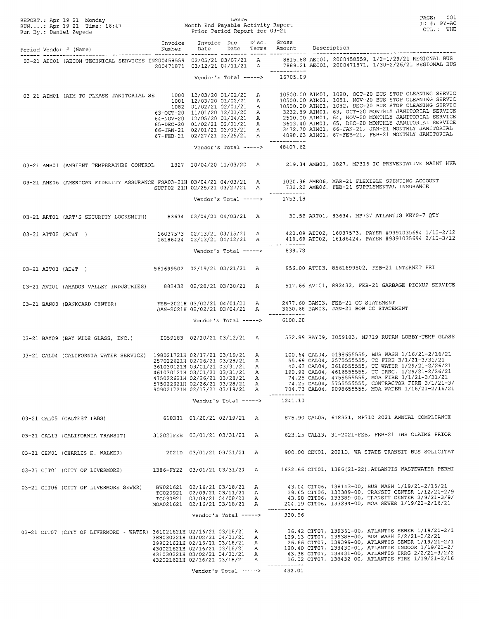|                                                                                                                                                                        |                                                                                                                                      |                              |  |                                               | REPORT.: Apr 19 21 Monday<br>RUN: Apr 19 21 Time: 16:47 Month End Payable Activity Report<br>Run By.: Daniel Zepeda<br>Period Vendor # (Name) Mumber Date Date Terms Amount<br>Period Vendor # (Name) Mumber Date Date Terms Amoun                                                                                                                                                                                                                                                                                                           |
|------------------------------------------------------------------------------------------------------------------------------------------------------------------------|--------------------------------------------------------------------------------------------------------------------------------------|------------------------------|--|-----------------------------------------------|----------------------------------------------------------------------------------------------------------------------------------------------------------------------------------------------------------------------------------------------------------------------------------------------------------------------------------------------------------------------------------------------------------------------------------------------------------------------------------------------------------------------------------------------|
|                                                                                                                                                                        |                                                                                                                                      |                              |  |                                               |                                                                                                                                                                                                                                                                                                                                                                                                                                                                                                                                              |
|                                                                                                                                                                        |                                                                                                                                      |                              |  |                                               |                                                                                                                                                                                                                                                                                                                                                                                                                                                                                                                                              |
|                                                                                                                                                                        |                                                                                                                                      |                              |  | Vendor's Total -----> 16705.09                |                                                                                                                                                                                                                                                                                                                                                                                                                                                                                                                                              |
|                                                                                                                                                                        |                                                                                                                                      |                              |  |                                               | 03-21 AIM01 (AIM TO PLEASE JANITORIAL SE $1080$ $12/03/20$ $01/02/21$ A $10500.00$ AIM01, 1080, OCT-20 BUS STOP CLEANING SERVIC<br>1081 $12/03/20$ 01/02/21 A $10500.00$ AIM01, 1081, NOV-20 BUS STOP CLEANING SERVIC<br>1082 01/                                                                                                                                                                                                                                                                                                            |
|                                                                                                                                                                        |                                                                                                                                      |                              |  | Vendor's Total -----> 48407.62                |                                                                                                                                                                                                                                                                                                                                                                                                                                                                                                                                              |
|                                                                                                                                                                        |                                                                                                                                      |                              |  |                                               | 03-21 AMB01 (AMBIENT TEMPERATURE CONTROL 1827 10/04/20 11/03/20 A 219.34 AMB01, 1827, MP316 TC PREVENTATIVE MAINT HVA                                                                                                                                                                                                                                                                                                                                                                                                                        |
|                                                                                                                                                                        |                                                                                                                                      |                              |  | ____________<br>Vendor's Total -----> 1753.18 | 03-21 AME06 (AMERICAN FIDELITY ASSURANCE FSA03-21H 03/04/21 04/03/21 A 1020.96 AME06, MAR-21 FLEXIBLE SPENDING ACCOUNT<br>SUPP02-21H 02/25/21 03/27/21 A 732.22 AME06, FEB-21 SUPPLEMENTAL INSURANCE                                                                                                                                                                                                                                                                                                                                         |
|                                                                                                                                                                        |                                                                                                                                      |                              |  |                                               | 03-21 ART01 (ART'S SECURITY LOCKSMITH) 83634 03/04/21 04/03/21 A 30.59 ART01, 83634, MP737 ATLANTIS KEYS-7 QTY                                                                                                                                                                                                                                                                                                                                                                                                                               |
|                                                                                                                                                                        |                                                                                                                                      |                              |  |                                               | 16037573 02/13/21 03/15/21 A 420.09 ATT02, 16037573, PAYER #9391035694 1/13-2/12<br>16186424 03/13/21 04/12/21 A 419.69 ATT02, 16186424, PAYER #9391035694 2/13-3/12                                                                                                                                                                                                                                                                                                                                                                         |
|                                                                                                                                                                        |                                                                                                                                      |                              |  | _____________<br>Vendor's Total -----> 839.78 |                                                                                                                                                                                                                                                                                                                                                                                                                                                                                                                                              |
|                                                                                                                                                                        |                                                                                                                                      |                              |  |                                               | 03-21 ATT03 (AT&T) 561699502 02/19/21 03/21/21 A 956.00 ATT03, 8561699502, FEB-21 INTERNET PRI                                                                                                                                                                                                                                                                                                                                                                                                                                               |
|                                                                                                                                                                        |                                                                                                                                      |                              |  |                                               | 03-21 AVI01 (AMADOR VALLEY INDUSTRIES) 882432 02/28/21 03/30/21 A 517.66 AVI01, 882432, FEB-21 GARBAGE PICKUP SERVICE                                                                                                                                                                                                                                                                                                                                                                                                                        |
| 03-21 BAN03 (BANKCARD CENTER) FEB-2021H 03/02/21 04/01/21 A 2477.60 BAN03, FEB-21 CC STATEMENT<br>JAN-2021H 02/02/21 03/04/21 A 3630.68 BAN03, JAN-21 BOW CC STATEMENT |                                                                                                                                      |                              |  |                                               |                                                                                                                                                                                                                                                                                                                                                                                                                                                                                                                                              |
|                                                                                                                                                                        |                                                                                                                                      |                              |  | Vendor's Total -----> 6108.28                 |                                                                                                                                                                                                                                                                                                                                                                                                                                                                                                                                              |
|                                                                                                                                                                        |                                                                                                                                      |                              |  |                                               | 03-21 BAY09 (BAY WIDE GLASS, INC.) 1059183 02/10/21 03/12/21 A 532.89 BAY09, I059183, MP719 RUTAN LOBBY-TEMP GLASS                                                                                                                                                                                                                                                                                                                                                                                                                           |
|                                                                                                                                                                        | 361030121H 03/01/21 03/31/21 A<br>461030121H 03/01/21 03/31/21 A<br>475022621H 02/26/21 03/28/21 A<br>575022621H 02/26/21 03/28/21 A |                              |  | Vendor's Total -----> 1241.10                 | 03-21 CAL04 (CALIFORNIA WATER SERVICE) 198021721H 02/17/21 03/19/21 A 100.64 CAL04, 0198655555, BUS WASH 1/16/21-2/16/21<br>257022621H 02/26/21 03/28/21 A 55.69 CAL04, 2575555555, TC FIRE 3/1/21-3/31/21<br>40.62 CAL04, 3616555555, TC WATER 1/29/21-2/26/21<br>190.92 CAL04, 4616555555, TC IRRG. 1/29/21-2/26/21<br>74.25 CAL04, 47555555555, MOA FIRE 3/1/21-3/31/21<br>74.25 CAL04, 57555555555, CONTRACTOR FIRE 3/1/21-3/<br>909021721H 02/17/21 03/19/21 A 704.73 CAL04, 9098655555, MOA WATER 1/16/21-2/16/21                      |
|                                                                                                                                                                        |                                                                                                                                      |                              |  |                                               | 03-21 CAL05 (CALTEST LABS) 618331 01/20/21 02/19/21 A 875.90 CAL05, 618331, MP710 2021 ANNUAL COMPLIANCE                                                                                                                                                                                                                                                                                                                                                                                                                                     |
|                                                                                                                                                                        |                                                                                                                                      |                              |  |                                               | 03-21 CAL13 (CALIFORNIA TRANSIT) 312021FEB 03/01/21 03/31/21 A 623.25 CAL13, 31-2021-FEB, FEB-21 INS CLAIMS PRIOR                                                                                                                                                                                                                                                                                                                                                                                                                            |
|                                                                                                                                                                        |                                                                                                                                      |                              |  |                                               | 03-21 CEW01 (CHARLES E. WALKER) 2021D 03/01/21 03/31/21 A 900.00 CEW01, 2021D, WA STATE TRANSIT BUS SOLICITAT                                                                                                                                                                                                                                                                                                                                                                                                                                |
|                                                                                                                                                                        |                                                                                                                                      |                              |  |                                               | 03-21 CIT01 (CITY OF LIVERMORE) 1386-FY22 03/01/21 03/31/21 A 1632.66 CIT01, 1386(21-22), ATLANTIS WASTEWATER PERMI                                                                                                                                                                                                                                                                                                                                                                                                                          |
|                                                                                                                                                                        | MOA021621 02/16/21 03/18/21 A                                                                                                        | TC030921 03/09/21 04/08/21 A |  | ------------                                  | 03-21 CIT06 (CITY OF LIVERMORE SEWER) BW021621 02/16/21 03/18/21 A 43.04 CIT06, 138143-00, BUS WASH 1/19/21-2/16/21<br>7C020921 02/09/21 03/11/21 A 39.65 CIT06, 133389-00, TRANSIT CENTER 1/12/21-2/<br>39.65 CIT06, 133389-00, TRANSIT CENTER 1/12/21-2/9<br>43.98 CIT06, 133389-00, TRANSIT CENTER 2/9/21-3/9/<br>204.19 CIT06, 133294-00, MOA SEWER 1/19/21-2/16/21                                                                                                                                                                      |
|                                                                                                                                                                        |                                                                                                                                      | Vendor's Total ----->        |  | 330.86                                        |                                                                                                                                                                                                                                                                                                                                                                                                                                                                                                                                              |
|                                                                                                                                                                        | 431030221H 03/02/21 04/01/21 A<br>432021621H 02/16/21 03/18/21 A                                                                     |                              |  |                                               | 03-21 CIT07 (CITY OF LIVERMORE - WATER) 361021621H 02/16/21 03/18/21 A<br>3880302221H 03/02/21 04/01/21 A<br>3880302221H 03/02/21 04/01/21 A<br>29.13 CIT07, 139388-000, BUS WASH 2/2121-3/2/21<br>26.66 CIT07, 139399-00, ATLANTIS SEWER 1/19/21-2/1<br>399021621H 02/16/21 03/18/21 A 26.66 CIT07, 139399-00, ATLANTIS SEWER 1/19/21-2/1<br>430021621H 02/16/21 03/18/21 A 180.40 CIT07, 138430-01, ATLANTIS INDOOR 1/19/21-2/<br>43.38 CIT07, 138431-00, ATLANTIS IRRG 2/2/21-3/2/2<br>16.02 CIT07, 138432-00, ATLANTIS FIRE 1/19/21-2/16 |
|                                                                                                                                                                        |                                                                                                                                      | Vendor's Total ----->        |  | ------------<br>432.01                        |                                                                                                                                                                                                                                                                                                                                                                                                                                                                                                                                              |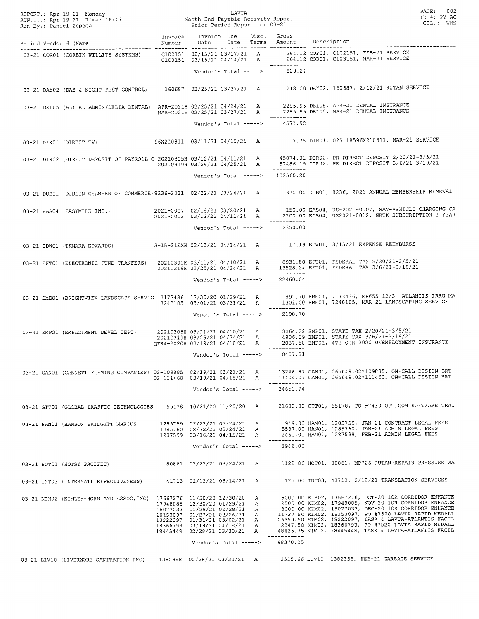|  | REPORT.: Apr 19 21 Monday<br>RUN: Apr 19 21 Time: 16:47 Month End Payable Activity Report<br>Run By.: Daniel Zepeda Prior Period Report for 03-21                                          |                                                                                                                                                                                              |                                                                                           |                       |                                                | PAGE: 002<br>ID #: PY-AC<br>CTL.: WHE                                                                                                                                                                                                                                                                                                                                                                   |
|--|--------------------------------------------------------------------------------------------------------------------------------------------------------------------------------------------|----------------------------------------------------------------------------------------------------------------------------------------------------------------------------------------------|-------------------------------------------------------------------------------------------|-----------------------|------------------------------------------------|---------------------------------------------------------------------------------------------------------------------------------------------------------------------------------------------------------------------------------------------------------------------------------------------------------------------------------------------------------------------------------------------------------|
|  | Period Vendor # (Name)                                                                                                                                                                     | Invoice Invoice Due Disc. Gross<br>Number Date                                                                                                                                               |                                                                                           |                       |                                                | Date Terms Amount Description<br>----------------------                                                                                                                                                                                                                                                                                                                                                 |
|  |                                                                                                                                                                                            |                                                                                                                                                                                              |                                                                                           |                       |                                                | 03-21 COR01 (CORBIN WILLITS SYSTEMS) C102151 02/15/21 03/17/21 A 264.12 COR01, C102151, FEB-21 SERVICE<br>C103151 03/15/21 04/14/21 A 264.12 COR01, C103151, MAR-21 SERVICE                                                                                                                                                                                                                             |
|  |                                                                                                                                                                                            |                                                                                                                                                                                              |                                                                                           |                       | Vendor's Total -----> 528.24                   | 03-21 DAY02 (DAY & NIGHT PEST CONTROL) 160687 02/25/21 03/27/21 A 218.00 DAY02, 160687, 2/12/21 RUTAN SERVICE                                                                                                                                                                                                                                                                                           |
|  | 03-21 DEL05 (ALLIED ADMIN/DELTA DENTAL) APR-2021H 03/25/21 04/24/21 A 2285.96 DEL05, APR-21 DENTAL INSURANCE<br>MAR-2021H 02/25/21 03/27/21 A 2285.96 DEL05, MAR-21 DENTAL INSURANCE       |                                                                                                                                                                                              |                                                                                           |                       |                                                |                                                                                                                                                                                                                                                                                                                                                                                                         |
|  |                                                                                                                                                                                            |                                                                                                                                                                                              |                                                                                           |                       | Vendor's Total -----> 4571.92                  | 03-21 DIR01 (DIRECT TV) 96X210311 03/11/21 04/10/21 A 7.75 DIR01, 025118596X210311, MAR-21 SERVICE                                                                                                                                                                                                                                                                                                      |
|  |                                                                                                                                                                                            |                                                                                                                                                                                              |                                                                                           |                       | ____________                                   | 03-21 DIRO2 (DIRECT DEPOSIT OF PAYROLL C 20210305H 03/12/21 04/11/21 A 45074.01 DIRO2, PR DIRECT DEPOSIT 2/20/21-3/5/21<br>20210319H 03/26/21 04/25/21 A 57486.19 DIRO2, PR DIRECT DEPOSIT 3/6/21-3/19/21                                                                                                                                                                                               |
|  |                                                                                                                                                                                            |                                                                                                                                                                                              |                                                                                           |                       | Vendor's Total -----> 102560.20                | 03-21 DUB01 (DUBLIN CHAMBER OF COMMERCE) 8236-2021 02/22/21 03/24/21 A 370.00 DUB01, 8236, 2021 ANNUAL MEMBERSHIP RENEWAL                                                                                                                                                                                                                                                                               |
|  |                                                                                                                                                                                            |                                                                                                                                                                                              |                                                                                           |                       |                                                | 03-21 EAS04 (EASYMILE INC.) 2021-0007 02/18/21 03/20/21 A 150.00 EAS04, US-2021-0007, SAV-VEHICLE CHARGING CA<br>2021-0012 03/12/21 04/11/21 A 2200.00 EAS04, US2021-0012, NRTK SUBSCRIPTION 1 YEAR                                                                                                                                                                                                     |
|  |                                                                                                                                                                                            |                                                                                                                                                                                              |                                                                                           |                       | Vendor's Total -----> 2350.00                  |                                                                                                                                                                                                                                                                                                                                                                                                         |
|  | 03-21 EDW01 (TAMARA EDWARDS) 3-15-21EXH 03/15/21 04/14/21 A 17.19 EDW01, 3/15/21 EXPENSE REIMBURSE                                                                                         |                                                                                                                                                                                              |                                                                                           |                       |                                                |                                                                                                                                                                                                                                                                                                                                                                                                         |
|  | 03-21 EFT01 (ELECTRONIC FUND TRANFERS) 20210305H 03/11/21 04/10/21 A 8931.80 EFT01, FEDERAL TAX 2/20/21-3/5/21<br>20210319H 03/25/21 04/24/21 A 13528.24 EFT01, FEDERAL TAX 3/6/21-3/19/21 |                                                                                                                                                                                              |                                                                                           |                       | ------------<br>Vendor's Total -----> 22460.04 |                                                                                                                                                                                                                                                                                                                                                                                                         |
|  |                                                                                                                                                                                            |                                                                                                                                                                                              |                                                                                           |                       | ___________<br>Vendor's Total -----> 2198.70   | 03-21 EME01, 7173436, MP655 12/3 ATLANTIS IRRG MA (BRIGHTVIEW LANDSCAPE SERVIC 7173436 12/30/20 01/29/21 A 897.70 EME01, 7173436, MP655 12/3 ATLANTIS IRRG MA 7248185 03/01/21 03/31/21 A 1301.00 EME01, 7248185, MAR-21 LANDS                                                                                                                                                                          |
|  | $\sim 10^{-11}$                                                                                                                                                                            |                                                                                                                                                                                              |                                                                                           |                       | ------------                                   | 03-21 EMP01 (EMPLOYMENT DEVEL DEPT) 20210305H 03/11/21 04/10/21 A 3464.22 EMP01, STATE TAX 2/20/21-3/5/21<br>20210319H 03/25/21 04/24/21 A 4906.09 EMP01, STATE TAX 3/6/21-3/19/21<br>QTR4-2020H 03/19/21 04/18/21 A 2037.50 EMP01,                                                                                                                                                                     |
|  |                                                                                                                                                                                            |                                                                                                                                                                                              |                                                                                           |                       | Vendor's Total -----> 10407.81                 |                                                                                                                                                                                                                                                                                                                                                                                                         |
|  | 03-21 GAN01 (GANNETT FLEMING COMPANIES) 02-109885 02/19/21 03/21/21 A                                                                                                                      | 02-111460 03/19/21 04/18/21 A                                                                                                                                                                |                                                                                           |                       | ------------<br>Vendor's Total $---24650.94$   | 13246.87 GAN01, 065649.02*109885, ON-CALL DESIGN BRT<br>11404.07 GAN01, 065649.02*111460, ON-CALL DESIGN BRT                                                                                                                                                                                                                                                                                            |
|  |                                                                                                                                                                                            |                                                                                                                                                                                              |                                                                                           |                       |                                                | 03-21 GTT01 (GLOBAL TRAFFIC TECHNOLOGIES 55178 10/21/20 11/20/20 A 21600.00 GTT01, 55178, PO #7430 OPTICOM SOFTWARE TRAI                                                                                                                                                                                                                                                                                |
|  | 03-21 HANO1 (HANSON BRIDGETT MARCUS)                                                                                                                                                       |                                                                                                                                                                                              | 1285759 02/22/21 03/24/21 A<br>1285760 02/22/21 03/24/21 A<br>1287599 03/16/21 04/15/21 A |                       |                                                | 949.00 HANO1, 1285759, JAN-21 CONTRACT LEGAL FEES<br>5537.00 HANO1, 1285760, JAN-21 ADMIN LEGAL FEES<br>2460.00 HANO1, 1287599, FEB-21 ADMIN LEGAL FEES                                                                                                                                                                                                                                                 |
|  |                                                                                                                                                                                            |                                                                                                                                                                                              |                                                                                           | Vendor's Total -----> | ------------<br>8946.00                        |                                                                                                                                                                                                                                                                                                                                                                                                         |
|  |                                                                                                                                                                                            |                                                                                                                                                                                              |                                                                                           |                       |                                                | 03-21 HOTO1 (HOTSY PACIFIC) 80861 02/22/21 03/24/21 A 1122.86 HOTO1, 80861, MP726 RUTAN-REPAIR PRESSURE WA                                                                                                                                                                                                                                                                                              |
|  |                                                                                                                                                                                            |                                                                                                                                                                                              |                                                                                           |                       |                                                | 03-21 INTO3 (INTERNATL EFFECTIVENESS) 41713 02/12/21 03/14/21 A 125.00 INTO3, 41713, 2/12/21 TRANSLATION SERVICES                                                                                                                                                                                                                                                                                       |
|  | 03-21 KIM02 (KIMLEY-HORN AND ASSOC, INC) 17667276 11/30/20 12/30/20 A                                                                                                                      | 17948085 12/30/20 01/29/21 A<br>18077033 01/29/21 02/28/21 A<br>18153097 01/27/21 02/26/21 A<br>18222097 01/31/21 03/02/21 A<br>18366793 03/19/21 04/18/21 A<br>18445448 02/28/21 03/30/21 A |                                                                                           |                       |                                                | 5000.00 KIM02, 17667276, OCT-20 10R CORRIDOR ENHANCE<br>2500.00 KIM02, 17948085, NOV-20 10R CORRIDOR ENHANCE<br>3000.00 KIM02, 18077033, DEC-20 10R CORRIDOR ENHANCE<br>11737.50 KIM02, 18153097, PO #7520 LAVTA RAPID MEDALL<br>25359.50 KIM02, 18222097, TASK 4 LAVTA-ATLANTIS FACIL<br>2347.50 KIM02, 18366793, PO #7520 LAVTA RAPID MEDALL<br>48425.75 KIMO2, 18445448, TASK 4 LAVTA-ATLANTIS FACIL |
|  |                                                                                                                                                                                            |                                                                                                                                                                                              |                                                                                           | Vendor's Total -----> | $- - - - - - - - - -$<br>98370.25              |                                                                                                                                                                                                                                                                                                                                                                                                         |
|  |                                                                                                                                                                                            |                                                                                                                                                                                              |                                                                                           |                       |                                                | 03-21 LIV10 (LIVERMORE SANITATION INC) 1382358 02/28/21 03/30/21 A 2515.66 LIV10, 1382358, FEB-21 GARBAGE SERVICE                                                                                                                                                                                                                                                                                       |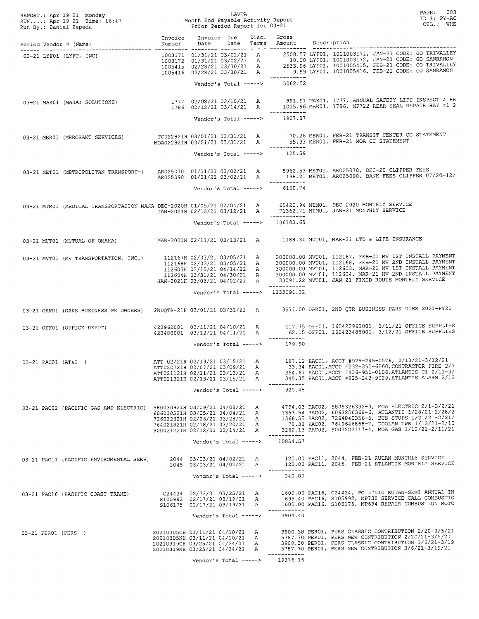|                     |                                         |                                                                                                                                      |                                                   |  |                                               | REPORT.: Apr 19 21 Monday<br>RUN: Apr 19 21 Time: 16:47 Month End Payable Activity Report<br>Run By.: Daniel Zepeda Prior Period Report for 03-21<br>PAGE: 003<br>ID #: PY-AC<br>CTL.: WHE                                                                                                                                                      |
|---------------------|-----------------------------------------|--------------------------------------------------------------------------------------------------------------------------------------|---------------------------------------------------|--|-----------------------------------------------|-------------------------------------------------------------------------------------------------------------------------------------------------------------------------------------------------------------------------------------------------------------------------------------------------------------------------------------------------|
|                     |                                         |                                                                                                                                      |                                                   |  |                                               | Invoice Invoice Due Disc. Gross<br>Number Date Date Terms Amount Description                                                                                                                                                                                                                                                                    |
|                     |                                         |                                                                                                                                      |                                                   |  |                                               | 03-21 LYF01 (LYFT, INC)<br>1003171 01/31/21 03/02/21 A 2508.57 LYF01, 1001003171, JAN-21 CODE: GO TRIVALLEY<br>1003172 01/31/21 03/02/21 A 10.00 LYF01, 1001003172, JAN-21 CODE: GO SANRAMON<br>1005415 02/28/21 03/30/21 A 2533.96 LYF                                                                                                         |
|                     |                                         |                                                                                                                                      |                                                   |  | ____________<br>Vendor's Total -----> 5062.52 |                                                                                                                                                                                                                                                                                                                                                 |
|                     |                                         |                                                                                                                                      |                                                   |  | Vendor's Total -----> 1907.87                 | 03-21 MAKO1 (MAKAI SOLUTIONS) (1777 02/08/21 03/10/21 A 891.91 MAKO1, 1777, ANNUAL SAFETY LIFT INSPECT & RE<br>1786 02/12/21 03/14/21 A 1015.96 MAKO1, 1786, MP722 REAR SEAL REPAIR BAY #1                                                                                                                                                      |
|                     |                                         |                                                                                                                                      |                                                   |  |                                               | 03-21 MERO1 (MERCHANT SERVICES) TC022821H 03/01/21 03/31/21 A 70.26 MERO1, FEB-21 TRANSIT CENTER CC STATEMENT<br>MOA022821H 03/01/21 03/31/21 A 55.33 MERO1, FEB-21 MOA CC STATEMENT                                                                                                                                                            |
|                     |                                         |                                                                                                                                      |                                                   |  | ___________<br>Vendor's Total -----> 125.59   |                                                                                                                                                                                                                                                                                                                                                 |
|                     |                                         |                                                                                                                                      |                                                   |  | ------------<br>Vendor's Total -----> 6160.74 | 03-21 MET01 (METROPOLITAN TRANSPORT-) AR025070 01/31/21 03/02/21 A 5962.53 MET01, AR025070, DEC-20 CLIPPER FEES<br>AR025090 01/31/21 03/02/21 A 198.21 MET01, AR025090, BANK FEES CLIPPER 07/20-12/                                                                                                                                             |
|                     |                                         |                                                                                                                                      |                                                   |  |                                               | 03-21 MTM01 (MEDICAL TRANSPORTATION MANA DEC-2020H 01/05/21 02/04/21 A 65420.94 MTM01, DEC-2020 MONTHLY SERVICE<br>JAN-2021H 02/10/21 03/12/21 A 71362.71 MTM01, JAN-21 MONTHLY SERVICE                                                                                                                                                         |
|                     |                                         |                                                                                                                                      |                                                   |  | Vendor's Total -----> 136783.65               |                                                                                                                                                                                                                                                                                                                                                 |
|                     |                                         |                                                                                                                                      |                                                   |  |                                               | 03-21 MUT01 (MUTUAL OF OMAHA) MAR-2021H 02/11/21 03/13/21 A 1188.34 MUT01, MAR-21 LTD & LIFE INSURANCE                                                                                                                                                                                                                                          |
|                     |                                         |                                                                                                                                      |                                                   |  |                                               | 03-21 MVT01 (MV TRANSPORTATION, INC.) 112167H 02/03/21 03/05/21 A 300000.00 MVT01, 112167, FEB-21 MV 1ST INSTALL PAYMENT<br>112604H 03/31/21 04/30/21 A 300000.00 MVT01, 112604, MAR-21 MV 2ND INSTALL PAYMENT<br>JAN-2021H 03/03/21 04/02/21 A 33091.22 MVT01, JAN-21 FIXED ROUTE MONTHLY SERVICE                                              |
|                     |                                         |                                                                                                                                      |                                                   |  | Vendor's Total -----> 1233091.22              |                                                                                                                                                                                                                                                                                                                                                 |
|                     |                                         |                                                                                                                                      |                                                   |  |                                               | 03-21 OAK01 (OAKS BUSINESS PK OWNERS) 2NDQTR-21H 03/01/21 03/31/21 A 3571.00 OAK01, 2ND QTR BUSINESS PARK DUES 2021-FY21                                                                                                                                                                                                                        |
|                     |                                         |                                                                                                                                      |                                                   |  |                                               | $\texttt{03-21 OFFO1 (OFFICE DEPOT)} \\\texttt{422962001} \\\texttt{423488001} \\\texttt{03/12/21 O4/11/21} \\\texttt{A} \\\texttt{52.15 OFFO1, 162423488001} \\\texttt{52.19.} \\\texttt{17.75 OFFO1, 162423488001} \\\texttt{52.19.} \\\texttt{17.75 OFFO1, 162423488001} \\\texttt{62.19.} \\\texttt{17.75 OFFO1, 1624234$                   |
|                     |                                         |                                                                                                                                      |                                                   |  | Vendor's Total -----> $179.90$                |                                                                                                                                                                                                                                                                                                                                                 |
| 03-21 PAC01 (AT&T ) |                                         | ATT 02/21H 02/13/21 03/15/21 A<br>ATT020721H 02/07/21 03/09/21 A<br>ATT021121H 02/11/21 03/13/21 A<br>ATT021321H 02/13/21 03/15/21 A |                                                   |  |                                               | 187.12 PAC01, ACCT #925-245-0576, 2/13/21-3/12/21<br>33.34 PAC01, ACCT #232-351-6260, CONTRACTOR FIRE 2/7<br>354.67 PAC01, ACCT #436-951-0106, ATLANTIS T1 2/11-3/<br>345.35 PAC01, ACCT #925-243-9029, ATLANTIS ALARM 2/13                                                                                                                     |
|                     |                                         |                                                                                                                                      | Vendor's Total ----->                             |  | ------------<br>920.48                        |                                                                                                                                                                                                                                                                                                                                                 |
|                     |                                         | 764021821H 02/18/21 03/20/21 A<br>900021221H 02/12/21 03/14/21 A                                                                     |                                                   |  | -----------                                   | 134/04/08/21 A 4794.03 PACO2, 5809326332-3, MOA ELECTRIC (PACIFIC GAS AND ELECTRIC) 580030921H 03/09/21 04/08/21 A 4794.03 PACO2, 5809326332-3, MOA ELECTRIC 471-3/2/41<br>606030521H 03/05/21 04/04/21 A 1353.54 PACO2, 60622563<br>78.32 PAC02, 7649646868-7, DOOLAN TWR 1/12/21-2/10<br>3262.13 PAC02, 9007202117-4, MOA GAS 1/13/21-2/11/21 |
|                     |                                         |                                                                                                                                      |                                                   |  | Vendor's Total -----> 10854.57                |                                                                                                                                                                                                                                                                                                                                                 |
|                     | 03-21 PAC11 (PACIFIC ENVIROMENTAL SERV) |                                                                                                                                      | 2044 03/03/21 04/02/21 A<br>Vendor's Total -----> |  | -----------<br>240.00                         | 120.00 PAC11, 2044, FEB-21 RUTAN MONTHLY SERVICE<br>2045 03/03/21 04/02/21 A 120.00 PACI1, 2045, FEB-21 ATLANTIS MONTHLY SERVICE                                                                                                                                                                                                                |
|                     | 03-21 PAC16 (PACIFIC COAST TRANE)       |                                                                                                                                      |                                                   |  | ------------                                  | C24424 02/23/21 03/25/21 A 1600.00 PAC16, C24424, PO #7510 RUTAN-SEMI ANNUAL IN<br>S105992 02/17/21 03/19/21 A 699.40 PAC16, S105992, MP738 SERVICE CALL-COMBUSTIO<br>S106175 02/17/21 03/19/21 A 1605.00 PAC16, S106175, MP694 REPA                                                                                                            |
|                     |                                         |                                                                                                                                      | Vendor's Total ----->                             |  | 3904.40                                       |                                                                                                                                                                                                                                                                                                                                                 |
| 03-21 PER01 (PERS)  |                                         | 20210305CH 03/11/21 04/10/21 A<br>20210305NH 03/11/21 04/10/21 A<br>20210319CH 03/25/21 04/24/21 A<br>20210319NH 03/25/21 04/24/21 A |                                                   |  | -----------                                   | 3900.38 PER01, PERS CLASSIC CONTRIBUTION 2/20-3/5/21<br>5787.70 PER01, PERS NEW CONTRIBUTION 2/20/21-3/5/21<br>3900.38 PER01, PERS CLASSIC CONTRIBUTION 3/6/21-3/19<br>5787.70 PER01, PERS NEW CONTRIBUTION 3/6/21-3/19/21                                                                                                                      |
|                     |                                         |                                                                                                                                      |                                                   |  | Vendor's Total -----> 19376.16                |                                                                                                                                                                                                                                                                                                                                                 |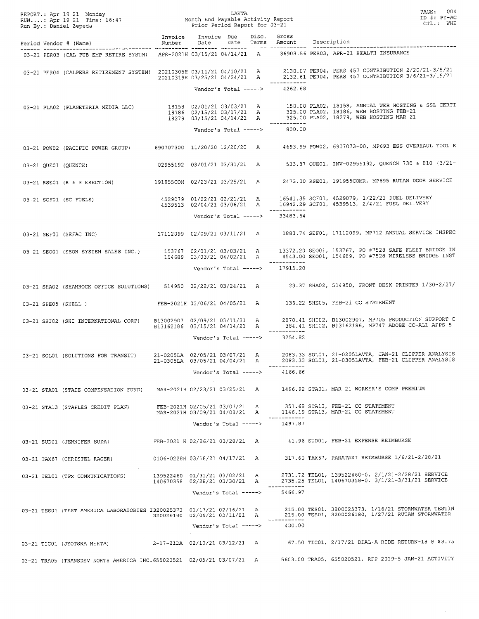|  | REPORT.: Apr 19 21 Monday LAVTA LAVTA<br>RUN: Apr 19 21 Time: 16:47 Month End Payable Activity Report<br>Run By.: Daniel Zepeda Prior Period Report for 03-21 |                               |                       | LAVTA |                                                 | PAGE: 004<br>ID #: PY-AC<br>CTL.: WHE                                                                                                                                                                                                |
|--|---------------------------------------------------------------------------------------------------------------------------------------------------------------|-------------------------------|-----------------------|-------|-------------------------------------------------|--------------------------------------------------------------------------------------------------------------------------------------------------------------------------------------------------------------------------------------|
|  | Invoice Invoice Due Disc. Gross<br>Period Vendor # (Name)                       Number   Date   Date   Terms   Amount   Description                           |                               |                       |       |                                                 |                                                                                                                                                                                                                                      |
|  | 03-21 PER03 (CAL PUB EMP RETIRE SYSTM) APR-2021H 03/15/21 04/14/21 A 36903.56 PER03, APR-21 HEALTH INSURANCE                                                  |                               |                       |       |                                                 |                                                                                                                                                                                                                                      |
|  |                                                                                                                                                               |                               |                       |       | _____________                                   | 03-21 PER04 (CALPERS RETIREMENT SYSTEM) 20210305H 03/11/21 04/10/21 A 2130.07 PER04, PERS 457 CONTRIBUTION 2/20/21-3/5/21 20210319H 03/25/21 04/24/21 A 2132.61 PER04, PERS 457 CONTRIBUTION 3/6/21-3/19/21                          |
|  |                                                                                                                                                               |                               |                       |       | Vendor's Total -----> 4262.68                   |                                                                                                                                                                                                                                      |
|  |                                                                                                                                                               |                               |                       |       |                                                 | 03-21 PLA02 (PLANETERIA MEDIA LLC) (2/01/21 03/03/21 A 150.00 PLA02, 18158, ANNUAL WEB HOSTING & SSL CERTI<br>18186 02/15/21 03/17/21 A 325.00 PLA02, 18186, WEB HOSTING FEB-21<br>18279 03/15/21 04/14/21 A 325.00 PLA02, 18279, WE |
|  |                                                                                                                                                               |                               |                       |       | ------------<br>Vendor's Total -----> 800.00    |                                                                                                                                                                                                                                      |
|  |                                                                                                                                                               |                               |                       |       |                                                 | 03-21 POW02 (PACIFIC POWER GROUP) 690707300 11/20/20 12/20/20 A 4693.99 POW02, 6907073-00, MP693 ESS OVERHAUL TOOL K                                                                                                                 |
|  | 03-21 OUE01 (QUENCH)                                                                                                                                          |                               |                       |       |                                                 | 02955192 03/01/21 03/31/21 A 533.87 QUE01, INV-02955192, QUENCH 730 & 810 (3/21-                                                                                                                                                     |
|  |                                                                                                                                                               |                               |                       |       |                                                 | 03-21 RSE01 (R & S ERECTION) 191955COM 02/23/21 03/25/21 A 2473.00 RSE01, 191955COMR, MP695 RUTAN DOOR SERVICE                                                                                                                       |
|  |                                                                                                                                                               |                               |                       |       |                                                 | 03-21 SCF01 (SC FUELS)<br>4529079 01/22/21 02/21/21 A 16541.35 SCF01, 4529079, 1/22/21 FUEL DELIVERY<br>4539513 02/04/21 03/06/21 A 16942.29 SCF01, 4539513, 2/4/21 FUEL DELIVERY                                                    |
|  |                                                                                                                                                               |                               |                       |       | Vendor's Total -----> 33483.64                  |                                                                                                                                                                                                                                      |
|  |                                                                                                                                                               |                               |                       |       |                                                 | 03-21 SEF01 (SEFAC INC) 17112099 02/09/21 03/11/21 A 1883.74 SEF01, 17112099, MP712 ANNUAL SERVICE INSPEC                                                                                                                            |
|  |                                                                                                                                                               |                               |                       |       |                                                 | 03-21 SEO01 (SEON SYSTEM SALES INC.) 153767 02/01/21 03/03/21 A 13372.20 SEO01, 153767, PO #7528 SAFE FLEET BRIDGE IN<br>154689 03/03/21 04/02/21 A 4543.00 SEO01, 154689, PO #7528 WIRELESS BRIDGE INST                             |
|  |                                                                                                                                                               |                               |                       |       | _____________<br>Vendor's Total -----> 17915.20 |                                                                                                                                                                                                                                      |
|  |                                                                                                                                                               |                               |                       |       |                                                 | 03-21 SHA02 (SHAMROCK OFFICE SOLUTIONS) 514950 02/22/21 03/24/21 A 23.37 SHA02, 514950, FRONT DESK PRINTER 1/30-2/27/                                                                                                                |
|  | 03-21 SHE05 (SHELL )                                                                                                                                          |                               |                       |       |                                                 | FEB-2021H 03/06/21 04/05/21 A 136.22 SHE05, FEB-21 CC STATEMENT                                                                                                                                                                      |
|  |                                                                                                                                                               |                               |                       |       |                                                 | 03-21 SHI02 (SHI INTERNATIONAL CORP) B13002907 02/09/21 03/11/21 A 2870.41 SHI02, B13002907, MP705 PRODUCTION SUPPORT C<br>B13162186 03/15/21 04/14/21 A 384.41 SHI02, B13162186, MP747 ADOBE CC-ALL APPS 5                          |
|  |                                                                                                                                                               |                               |                       |       | ------------<br>Vendor's Total -----> 3254.82   |                                                                                                                                                                                                                                      |
|  | 03-21 SOL01 (SOLUTIONS FOR TRANSIT) 21-0205LA 02/05/21 03/07/21 A                                                                                             | 21-0305LA 03/05/21 04/04/21 A |                       |       |                                                 | 2083.33 SOL01, 21-0205LAVTA, JAN-21 CLIPPER ANALYSIS<br>2083.33 SOL01, 21-0305LAVTA, FEB-21 CLIPPER ANALYSIS                                                                                                                         |
|  |                                                                                                                                                               |                               | Vendor's Total -----> |       | 4166.66                                         |                                                                                                                                                                                                                                      |
|  | 03-21 STA01 (STATE COMPENSATION FUND)                                                                                                                         |                               |                       |       |                                                 | MAR-2021H 02/23/21 03/25/21 A 1496.92 STA01, MAR-21 WORKER'S COMP PREMIUM                                                                                                                                                            |
|  | 03-21 STA13 (STAPLES CREDIT PLAN)                                                                                                                             | FEB-2021H 02/05/21 03/07/21 A |                       |       |                                                 | 351.68 STA13, FEB-21 CC STATEMENT<br>MAR-2021H 03/09/21 04/08/21 A 1146.19 STA13, MAR-21 CC STATEMENT                                                                                                                                |
|  |                                                                                                                                                               |                               | Vendor's Total -----> |       | 1497.87                                         |                                                                                                                                                                                                                                      |
|  | 03-21 SUD01 (JENNIFER SUDA)                                                                                                                                   |                               |                       |       |                                                 | FEB-2021 H 02/26/21 03/28/21 A 41.96 SUD01, FEB-21 EXPENSE REIMBURSE                                                                                                                                                                 |
|  | 03-21 TAX67 (CHRISTEL RAGER)                                                                                                                                  |                               |                       |       |                                                 | 0106-0228H 03/18/21 04/17/21 A 317.60 TAX67, PARATAXI REIMBURSE 1/6/21-2/28/21                                                                                                                                                       |
|  | 03-21 TEL01 (TPx COMMUNICATIONS)                                                                                                                              | 140670358 02/28/21 03/30/21 A |                       |       |                                                 | 2731.72 TEL01, 139522460-0, 2/1/21-2/28/21 SERVICE<br>2735.25 TEL01, 140670358-0, 3/1/21-3/31/21 SERVICE                                                                                                                             |
|  |                                                                                                                                                               |                               | Vendor's Total -----> |       | 5466.97                                         |                                                                                                                                                                                                                                      |
|  |                                                                                                                                                               |                               |                       |       |                                                 | 03-21 TES01 (TEST AMERICA LABORATORIES I320025373 01/17/21 02/16/21 A 215.00 TES01, 3200025373, 1/16/21 STORMWATER TESTIN<br>320026180 02/09/21 03/11/21 A 215.00 TES01, 3200026180, 1/27/21 RUTAN STORMWATER                        |
|  |                                                                                                                                                               |                               |                       |       | Vendor's Total -----> 430.00                    |                                                                                                                                                                                                                                      |
|  | 03-21 TIC01 (JYOTSNA MEHTA)                                                                                                                                   | 2-17-21DA 02/10/21 03/12/21 A |                       |       |                                                 | 67.50 TIC01, 2/17/21 DIAL-A-RIDE RETURN-18 @ \$3.75                                                                                                                                                                                  |
|  | 03-21 TRA05 (TRANSDEV NORTH AMERICA INC.655020521 02/05/21 03/07/21 A                                                                                         |                               |                       |       |                                                 | 5603.00 TRA05, 655020521, RFP 2019-5 JAN-21 ACTIVITY                                                                                                                                                                                 |